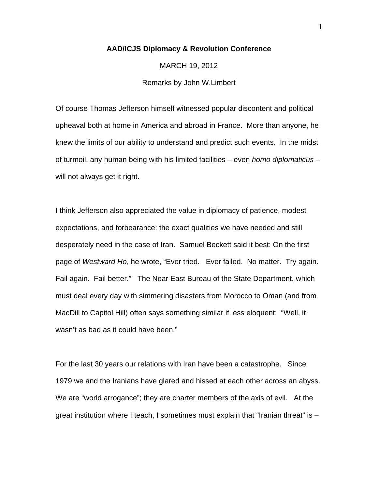## **AAD/ICJS Diplomacy & Revolution Conference**

MARCH 19, 2012 Remarks by John W.Limbert

Of course Thomas Jefferson himself witnessed popular discontent and political upheaval both at home in America and abroad in France. More than anyone, he knew the limits of our ability to understand and predict such events. In the midst of turmoil, any human being with his limited facilities – even *homo diplomaticus* – will not always get it right.

I think Jefferson also appreciated the value in diplomacy of patience, modest expectations, and forbearance: the exact qualities we have needed and still desperately need in the case of Iran. Samuel Beckett said it best: On the first page of *Westward Ho*, he wrote, "Ever tried. Ever failed. No matter. Try again. Fail again. Fail better." The Near East Bureau of the State Department, which must deal every day with simmering disasters from Morocco to Oman (and from MacDill to Capitol Hill) often says something similar if less eloquent: "Well, it wasn't as bad as it could have been."

For the last 30 years our relations with Iran have been a catastrophe. Since 1979 we and the Iranians have glared and hissed at each other across an abyss. We are "world arrogance"; they are charter members of the axis of evil. At the great institution where I teach, I sometimes must explain that "Iranian threat" is –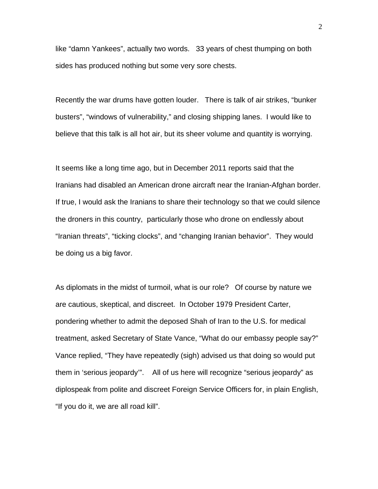like "damn Yankees", actually two words. 33 years of chest thumping on both sides has produced nothing but some very sore chests.

Recently the war drums have gotten louder. There is talk of air strikes, "bunker busters", "windows of vulnerability," and closing shipping lanes. I would like to believe that this talk is all hot air, but its sheer volume and quantity is worrying.

It seems like a long time ago, but in December 2011 reports said that the Iranians had disabled an American drone aircraft near the Iranian-Afghan border. If true, I would ask the Iranians to share their technology so that we could silence the droners in this country, particularly those who drone on endlessly about "Iranian threats", "ticking clocks", and "changing Iranian behavior". They would be doing us a big favor.

As diplomats in the midst of turmoil, what is our role? Of course by nature we are cautious, skeptical, and discreet. In October 1979 President Carter, pondering whether to admit the deposed Shah of Iran to the U.S. for medical treatment, asked Secretary of State Vance, "What do our embassy people say?" Vance replied, "They have repeatedly (sigh) advised us that doing so would put them in 'serious jeopardy'". All of us here will recognize "serious jeopardy" as diplospeak from polite and discreet Foreign Service Officers for, in plain English, "If you do it, we are all road kill".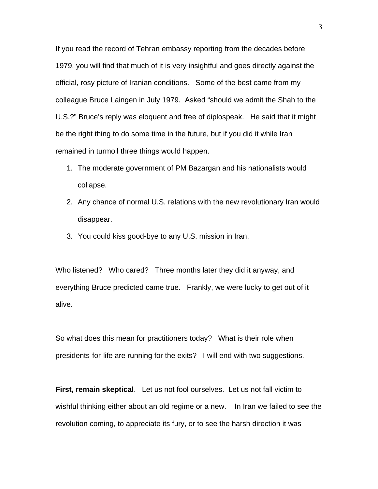If you read the record of Tehran embassy reporting from the decades before 1979, you will find that much of it is very insightful and goes directly against the official, rosy picture of Iranian conditions. Some of the best came from my colleague Bruce Laingen in July 1979. Asked "should we admit the Shah to the U.S.?" Bruce's reply was eloquent and free of diplospeak. He said that it might be the right thing to do some time in the future, but if you did it while Iran remained in turmoil three things would happen.

- 1. The moderate government of PM Bazargan and his nationalists would collapse.
- 2. Any chance of normal U.S. relations with the new revolutionary Iran would disappear.
- 3. You could kiss good-bye to any U.S. mission in Iran.

Who listened? Who cared? Three months later they did it anyway, and everything Bruce predicted came true. Frankly, we were lucky to get out of it alive.

So what does this mean for practitioners today? What is their role when presidents-for-life are running for the exits? I will end with two suggestions.

**First, remain skeptical**. Let us not fool ourselves. Let us not fall victim to wishful thinking either about an old regime or a new. In Iran we failed to see the revolution coming, to appreciate its fury, or to see the harsh direction it was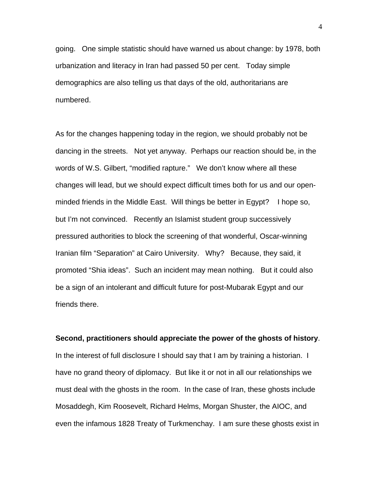going. One simple statistic should have warned us about change: by 1978, both urbanization and literacy in Iran had passed 50 per cent. Today simple demographics are also telling us that days of the old, authoritarians are numbered.

As for the changes happening today in the region, we should probably not be dancing in the streets. Not yet anyway. Perhaps our reaction should be, in the words of W.S. Gilbert, "modified rapture." We don't know where all these changes will lead, but we should expect difficult times both for us and our openminded friends in the Middle East. Will things be better in Egypt? I hope so, but I'm not convinced. Recently an Islamist student group successively pressured authorities to block the screening of that wonderful, Oscar-winning Iranian film "Separation" at Cairo University. Why? Because, they said, it promoted "Shia ideas". Such an incident may mean nothing. But it could also be a sign of an intolerant and difficult future for post-Mubarak Egypt and our friends there.

## **Second, practitioners should appreciate the power of the ghosts of history**.

In the interest of full disclosure I should say that I am by training a historian. I have no grand theory of diplomacy. But like it or not in all our relationships we must deal with the ghosts in the room. In the case of Iran, these ghosts include Mosaddegh, Kim Roosevelt, Richard Helms, Morgan Shuster, the AIOC, and even the infamous 1828 Treaty of Turkmenchay. I am sure these ghosts exist in